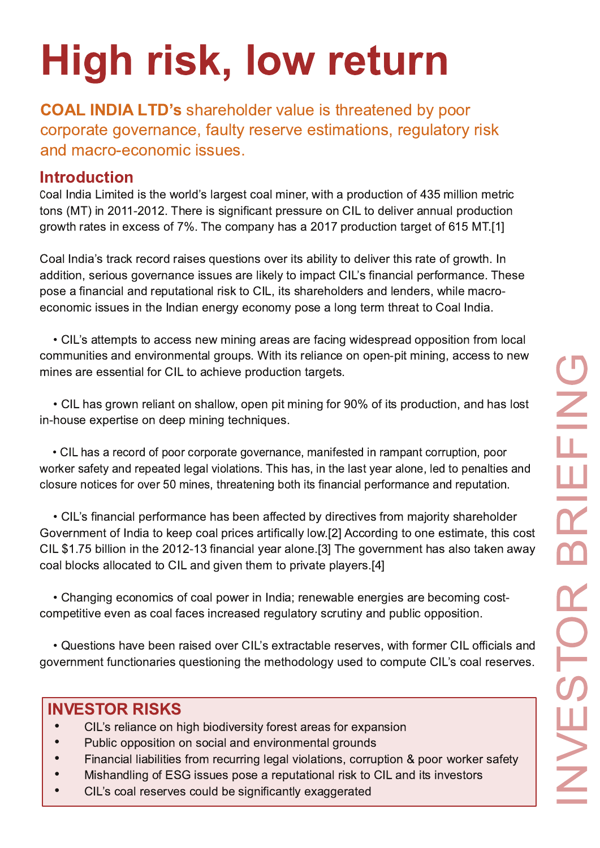# High risk, low return

**COAL INDIA LTD's shareholder value is threatened by poor** corporate governance, faulty reserve estimations, regulatory risk and macro-economic issues.

# **Introduction**

Coal India Limited is the world's largest coal miner, with a production of 435 million metric tons (MT) in 2011-2012. There is significant pressure on CIL to deliver annual production growth rates in excess of 7%. The company has a 2017 production target of 615 MT.[1]

Coal India's track record raises questions over its ability to deliver this rate of growth. In addition, serious governance issues are likely to impact CIL's financial performance. These pose a financial and reputational risk to CIL, its shareholders and lenders, while macroeconomic issues in the Indian energy economy pose a long term threat to Coal India.

• CIL's attempts to access new mining areas are facing widespread opposition from local communities and environmental groups. With its reliance on open-pit mining, access to new mines are essential for CIL to achieve production targets.

• CIL has grown reliant on shallow, open pit mining for 90% of its production, and has lost in-house expertise on deep mining techniques.

• CIL has a record of poor corporate governance, manifested in rampant corruption, poor worker safety and repeated legal violations. This has, in the last year alone, led to penalties and closure notices for over 50 mines, threatening both its financial performance and reputation.

• CIL's financial performance has been affected by directives from majority shareholder Government of India to keep coal prices artifically low.[2] According to one estimate, this cost CIL \$1.75 billion in the 2012-13 financial year alone.[3] The government has also taken away coal blocks allocated to CIL and given them to private players.[4]

• Changing economics of coal power in India; renewable energies are becoming costcompetitive even as coal faces increased regulatory scrutiny and public opposition.

• Questions have been raised over CIL's extractable reserves, with former CIL officials and government functionaries questioning the methodology used to compute CIL's coal reserves.

# **INVESTOR RISKS**

- CIL's reliance on high biodiversity forest areas for expansion
- $\bullet$ Public opposition on social and environmental grounds
- Financial liabilities from recurring legal violations, corruption & poor worker safety
- Mishandling of ESG issues pose a reputational risk to CIL and its investors
- $\bullet$ CIL's coal reserves could be significantly exaggerated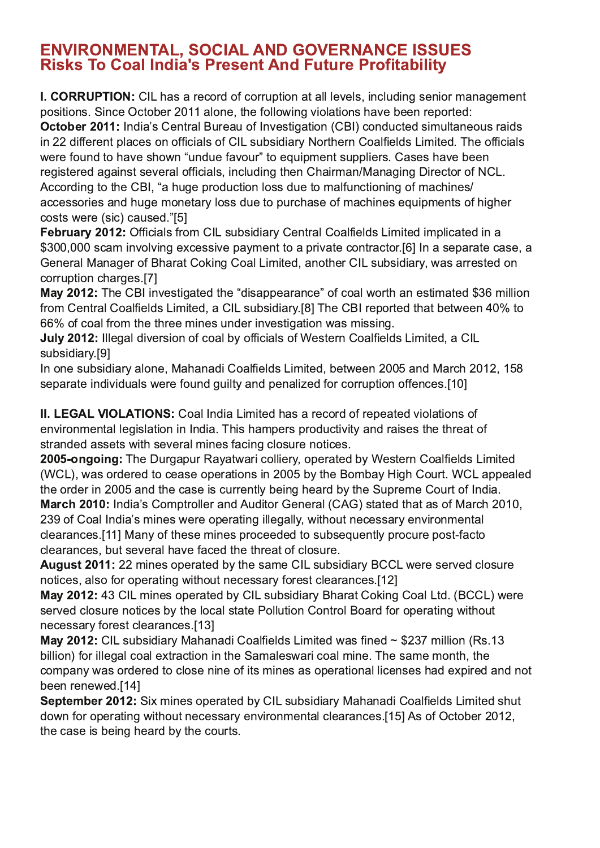#### **ENVIRONMENTAL, SOCIAL AND GOVERNANCE ISSUES Risks To Coal India's Present And Future Profitability**

I. CORRUPTION: CIL has a record of corruption at all levels, including senior management positions. Since October 2011 alone, the following violations have been reported:

October 2011: India's Central Bureau of Investigation (CBI) conducted simultaneous raids in 22 different places on officials of CIL subsidiary Northern Coalfields Limited. The officials were found to have shown "undue favour" to equipment suppliers. Cases have been registered against several officials, including then Chairman/Managing Director of NCL. According to the CBI, "a huge production loss due to malfunctioning of machines/ accessories and huge monetary loss due to purchase of machines equipments of higher costs were (sic) caused."[5]

February 2012: Officials from CIL subsidiary Central Coalfields Limited implicated in a \$300,000 scam involving excessive payment to a private contractor.[6] In a separate case, a General Manager of Bharat Coking Coal Limited, another CIL subsidiary, was arrested on corruption charges.[7]

May 2012: The CBI investigated the "disappearance" of coal worth an estimated \$36 million from Central Coalfields Limited, a CIL subsidiary.[8] The CBI reported that between 40% to 66% of coal from the three mines under investigation was missing.

July 2012: Illegal diversion of coal by officials of Western Coalfields Limited, a CIL subsidiary.[9]

In one subsidiary alone, Mahanadi Coalfields Limited, between 2005 and March 2012, 158 separate individuals were found quilty and penalized for corruption offences.[10]

II. LEGAL VIOLATIONS: Coal India Limited has a record of repeated violations of environmental legislation in India. This hampers productivity and raises the threat of stranded assets with several mines facing closure notices.

2005-ongoing: The Durgapur Rayatwari colliery, operated by Western Coalfields Limited (WCL), was ordered to cease operations in 2005 by the Bombay High Court. WCL appealed the order in 2005 and the case is currently being heard by the Supreme Court of India. March 2010: India's Comptroller and Auditor General (CAG) stated that as of March 2010. 239 of Coal India's mines were operating illegally, without necessary environmental clearances.[11] Many of these mines proceeded to subsequently procure post-facto clearances, but several have faced the threat of closure.

August 2011: 22 mines operated by the same CIL subsidiary BCCL were served closure notices, also for operating without necessary forest clearances.[12]

May 2012: 43 CIL mines operated by CIL subsidiary Bharat Coking Coal Ltd. (BCCL) were served closure notices by the local state Pollution Control Board for operating without necessary forest clearances.[13]

May 2012: CIL subsidiary Mahanadi Coalfields Limited was fined ~ \$237 million (Rs.13 billion) for illegal coal extraction in the Samaleswari coal mine. The same month, the company was ordered to close nine of its mines as operational licenses had expired and not been renewed.[14]

September 2012: Six mines operated by CIL subsidiary Mahanadi Coalfields Limited shut down for operating without necessary environmental clearances.[15] As of October 2012, the case is being heard by the courts.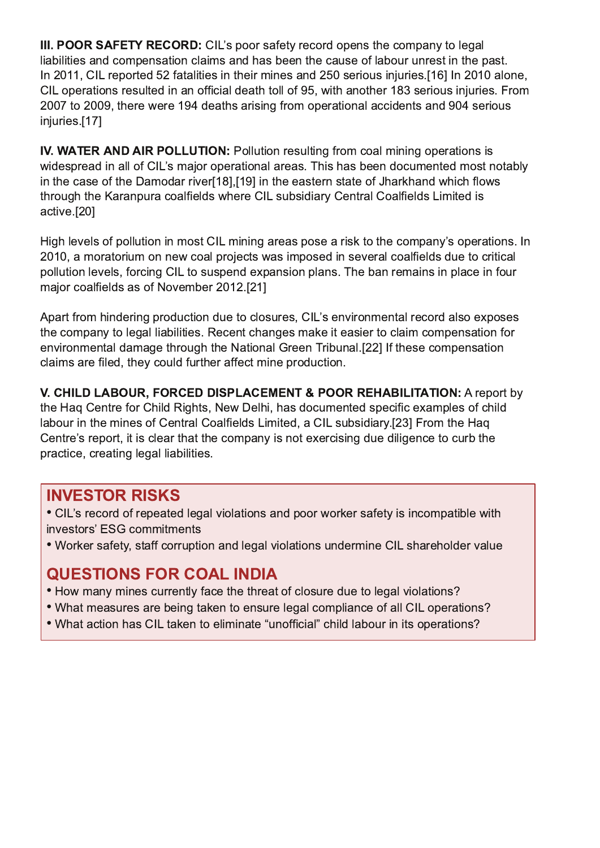III. POOR SAFETY RECORD: CIL's poor safety record opens the company to legal liabilities and compensation claims and has been the cause of labour unrest in the past. In 2011. CIL reported 52 fatalities in their mines and 250 serious injuries. [16] In 2010 alone. CIL operations resulted in an official death toll of 95, with another 183 serious injuries. From 2007 to 2009, there were 194 deaths arising from operational accidents and 904 serious injuries.[17]

IV. WATER AND AIR POLLUTION: Pollution resulting from coal mining operations is widespread in all of CIL's major operational areas. This has been documented most notably in the case of the Damodar river[18],[19] in the eastern state of Jharkhand which flows through the Karanpura coalfields where CIL subsidiary Central Coalfields Limited is active.[20]

High levels of pollution in most CIL mining areas pose a risk to the company's operations. In 2010, a moratorium on new coal projects was imposed in several coalfields due to critical pollution levels, forcing CIL to suspend expansion plans. The ban remains in place in four major coalfields as of November 2012.[21]

Apart from hindering production due to closures, CIL's environmental record also exposes the company to legal liabilities. Recent changes make it easier to claim compensation for environmental damage through the National Green Tribunal.[22] If these compensation claims are filed, they could further affect mine production.

V. CHILD LABOUR, FORCED DISPLACEMENT & POOR REHABILITATION: A report by the Hag Centre for Child Rights, New Delhi, has documented specific examples of child labour in the mines of Central Coalfields Limited, a CIL subsidiary.[23] From the Hag Centre's report, it is clear that the company is not exercising due diligence to curb the practice, creating legal liabilities.

### **INVESTOR RISKS**

• CIL's record of repeated legal violations and poor worker safety is incompatible with investors' ESG commitments

. Worker safety, staff corruption and legal violations undermine CIL shareholder value

# **QUESTIONS FOR COAL INDIA**

- How many mines currently face the threat of closure due to legal violations?
- What measures are being taken to ensure legal compliance of all CIL operations?
- What action has CIL taken to eliminate "unofficial" child labour in its operations?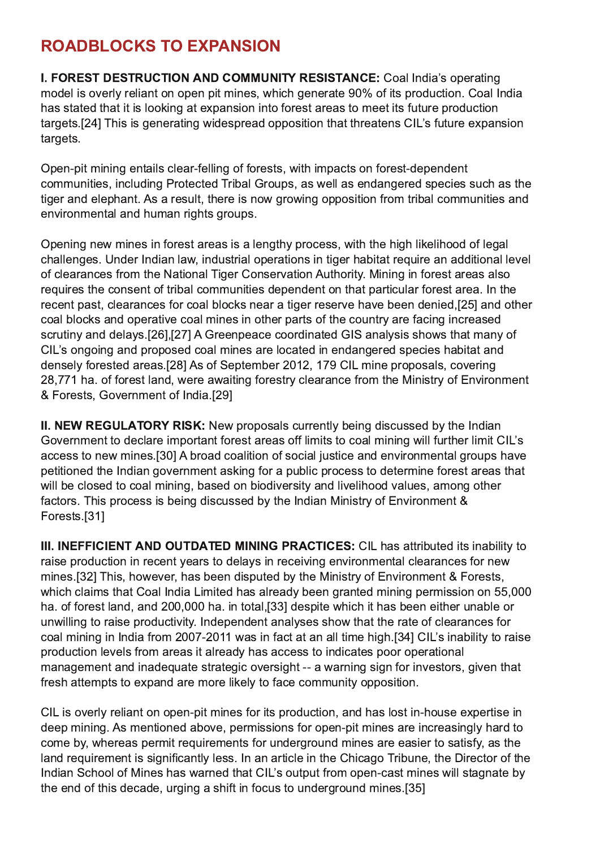# **ROADBLOCKS TO EXPANSION**

I. FOREST DESTRUCTION AND COMMUNITY RESISTANCE: Coal India's operating model is overly reliant on open pit mines, which generate 90% of its production. Coal India has stated that it is looking at expansion into forest areas to meet its future production targets. [24] This is generating widespread opposition that threatens CIL's future expansion targets.

Open-pit mining entails clear-felling of forests, with impacts on forest-dependent communities, including Protected Tribal Groups, as well as endangered species such as the tiger and elephant. As a result, there is now growing opposition from tribal communities and environmental and human rights groups.

Opening new mines in forest areas is a lengthy process, with the high likelihood of legal challenges. Under Indian law, industrial operations in tiger habitat require an additional level of clearances from the National Tiger Conservation Authority. Mining in forest areas also requires the consent of tribal communities dependent on that particular forest area. In the recent past, clearances for coal blocks near a tiger reserve have been denied, [25] and other coal blocks and operative coal mines in other parts of the country are facing increased scrutiny and delays.[26],[27] A Greenpeace coordinated GIS analysis shows that many of CIL's ongoing and proposed coal mines are located in endangered species habitat and densely forested areas.[28] As of September 2012, 179 CIL mine proposals, covering 28,771 ha. of forest land, were awaiting forestry clearance from the Ministry of Environment & Forests, Government of India.[29]

II. NEW REGULATORY RISK: New proposals currently being discussed by the Indian Government to declare important forest areas off limits to coal mining will further limit CIL's access to new mines.[30] A broad coalition of social justice and environmental groups have petitioned the Indian government asking for a public process to determine forest areas that will be closed to coal mining, based on biodiversity and livelihood values, among other factors. This process is being discussed by the Indian Ministry of Environment & Forests.[31]

III. INEFFICIENT AND OUTDATED MINING PRACTICES: CIL has attributed its inability to raise production in recent years to delays in receiving environmental clearances for new mines.[32] This, however, has been disputed by the Ministry of Environment & Forests, which claims that Coal India Limited has already been granted mining permission on 55,000 ha. of forest land, and 200,000 ha. in total.[33] despite which it has been either unable or unwilling to raise productivity. Independent analyses show that the rate of clearances for coal mining in India from 2007-2011 was in fact at an all time high.[34] CIL's inability to raise production levels from areas it already has access to indicates poor operational management and inadequate strategic oversight -- a warning sign for investors, given that fresh attempts to expand are more likely to face community opposition.

CIL is overly reliant on open-pit mines for its production, and has lost in-house expertise in deep mining. As mentioned above, permissions for open-pit mines are increasingly hard to come by, whereas permit requirements for underground mines are easier to satisfy, as the land requirement is significantly less. In an article in the Chicago Tribune, the Director of the Indian School of Mines has warned that CIL's output from open-cast mines will stagnate by the end of this decade, urging a shift in focus to underground mines.[35]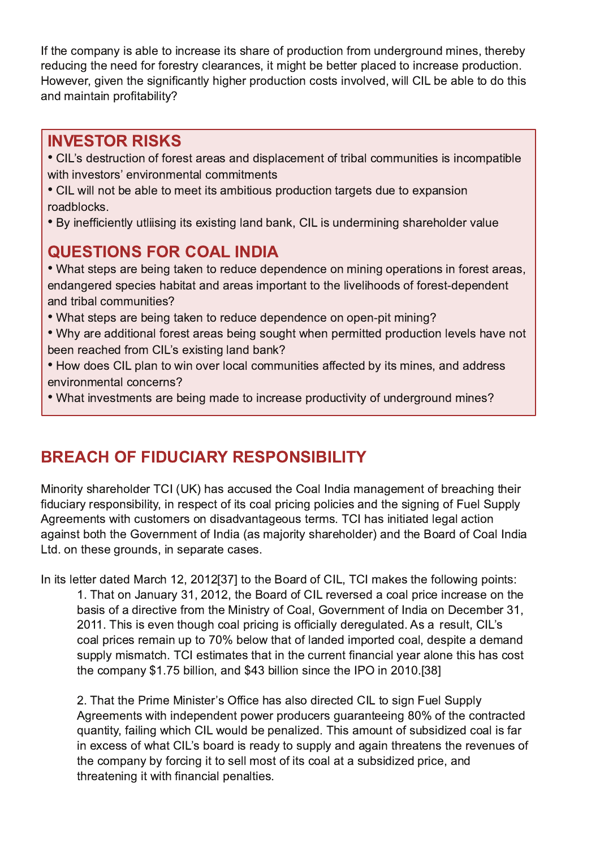If the company is able to increase its share of production from underground mines, thereby reducing the need for forestry clearances, it might be better placed to increase production. However, given the significantly higher production costs involved, will CIL be able to do this and maintain profitability?

### **INVESTOR RISKS**

- CIL's destruction of forest areas and displacement of tribal communities is incompatible with investors' environmental commitments
- CIL will not be able to meet its ambitious production targets due to expansion roadblocks.
- By inefficiently utliising its existing land bank, CIL is undermining shareholder value

# **QUESTIONS FOR COAL INDIA**

• What steps are being taken to reduce dependence on mining operations in forest areas, endangered species habitat and areas important to the livelihoods of forest-dependent and tribal communities?

- What steps are being taken to reduce dependence on open-pit mining?
- . Why are additional forest areas being sought when permitted production levels have not been reached from CIL's existing land bank?
- How does CIL plan to win over local communities affected by its mines, and address environmental concerns?
- What investments are being made to increase productivity of underground mines?

# **BREACH OF FIDUCIARY RESPONSIBILITY**

Minority shareholder TCI (UK) has accused the Coal India management of breaching their fiduciary responsibility, in respect of its coal pricing policies and the signing of Fuel Supply Agreements with customers on disadvantageous terms. TCI has initiated legal action against both the Government of India (as majority shareholder) and the Board of Coal India Ltd. on these grounds, in separate cases.

In its letter dated March 12, 2012[37] to the Board of CIL, TCI makes the following points:

1. That on January 31, 2012, the Board of CIL reversed a coal price increase on the basis of a directive from the Ministry of Coal, Government of India on December 31, 2011. This is even though coal pricing is officially deregulated. As a result, CIL's coal prices remain up to 70% below that of landed imported coal, despite a demand supply mismatch. TCI estimates that in the current financial year alone this has cost the company \$1.75 billion, and \$43 billion since the IPO in 2010.[38]

2. That the Prime Minister's Office has also directed CIL to sign Fuel Supply Agreements with independent power producers guaranteeing 80% of the contracted quantity, failing which CIL would be penalized. This amount of subsidized coal is far in excess of what CIL's board is ready to supply and again threatens the revenues of the company by forcing it to sell most of its coal at a subsidized price, and threatening it with financial penalties.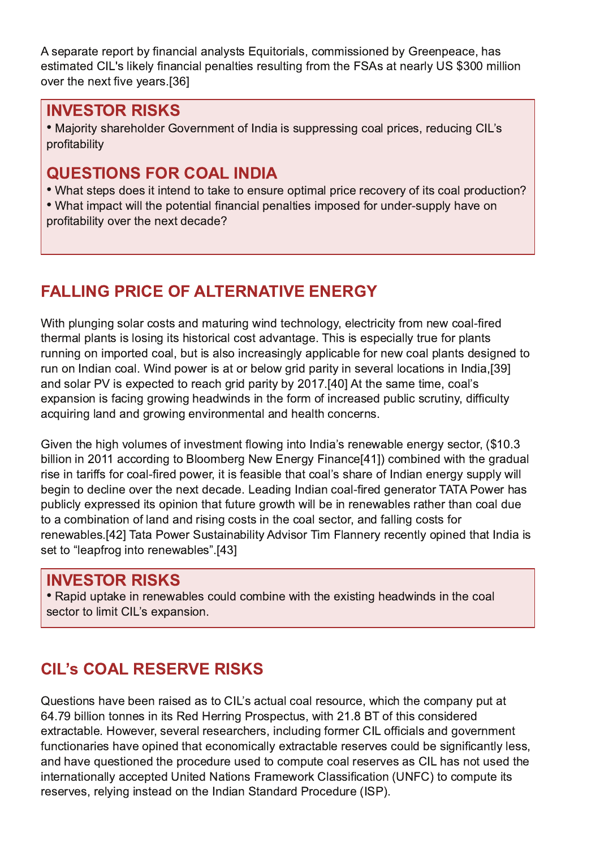A separate report by financial analysts Equitorials, commissioned by Greenpeace, has estimated CIL's likely financial penalties resulting from the FSAs at nearly US \$300 million over the next five years.[36]

### **INVESTOR RISKS**

• Majority shareholder Government of India is suppressing coal prices, reducing CIL's profitability

# **QUESTIONS FOR COAL INDIA**

• What steps does it intend to take to ensure optimal price recovery of its coal production?

• What impact will the potential financial penalties imposed for under-supply have on profitability over the next decade?

# **FALLING PRICE OF ALTERNATIVE ENERGY**

With plunging solar costs and maturing wind technology, electricity from new coal-fired thermal plants is losing its historical cost advantage. This is especially true for plants running on imported coal, but is also increasingly applicable for new coal plants designed to run on Indian coal. Wind power is at or below grid parity in several locations in India, [39] and solar PV is expected to reach grid parity by 2017.[40] At the same time, coal's expansion is facing growing headwinds in the form of increased public scrutiny, difficulty acquiring land and growing environmental and health concerns.

Given the high volumes of investment flowing into India's renewable energy sector, (\$10.3) billion in 2011 according to Bloomberg New Energy Finance[41]) combined with the gradual rise in tariffs for coal-fired power, it is feasible that coal's share of Indian energy supply will begin to decline over the next decade. Leading Indian coal-fired generator TATA Power has publicly expressed its opinion that future growth will be in renewables rather than coal due to a combination of land and rising costs in the coal sector, and falling costs for renewables.[42] Tata Power Sustainability Advisor Tim Flannery recently opined that India is set to "leapfrog into renewables".[43]

# **INVESTOR RISKS**

• Rapid uptake in renewables could combine with the existing headwinds in the coal sector to limit CIL's expansion.

# **CIL's COAL RESERVE RISKS**

Questions have been raised as to CIL's actual coal resource, which the company put at 64.79 billion tonnes in its Red Herring Prospectus, with 21.8 BT of this considered extractable. However, several researchers, including former CIL officials and government functionaries have opined that economically extractable reserves could be significantly less, and have questioned the procedure used to compute coal reserves as CIL has not used the internationally accepted United Nations Framework Classification (UNFC) to compute its reserves, relying instead on the Indian Standard Procedure (ISP).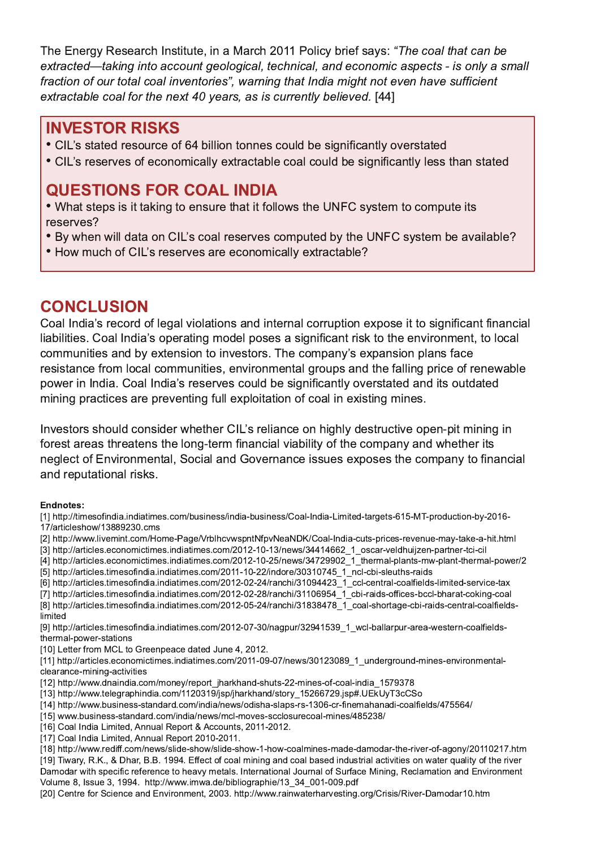The Energy Research Institute, in a March 2011 Policy brief says: "The coal that can be extracted—taking into account geological, technical, and economic aspects - is only a small fraction of our total coal inventories", warning that India might not even have sufficient extractable coal for the next 40 years, as is currently believed. [44]

#### **INVESTOR RISKS**

- CIL's stated resource of 64 billion tonnes could be significantly overstated
- CIL's reserves of economically extractable coal could be significantly less than stated

### **QUESTIONS FOR COAL INDIA**

• What steps is it taking to ensure that it follows the UNFC system to compute its reserves?

- By when will data on CIL's coal reserves computed by the UNFC system be available?
- How much of CIL's reserves are economically extractable?

## **CONCLUSION**

Coal India's record of legal violations and internal corruption expose it to significant financial liabilities. Coal India's operating model poses a significant risk to the environment, to local communities and by extension to investors. The company's expansion plans face resistance from local communities, environmental groups and the falling price of renewable power in India. Coal India's reserves could be significantly overstated and its outdated mining practices are preventing full exploitation of coal in existing mines.

Investors should consider whether CIL's reliance on highly destructive open-pit mining in forest areas threatens the long-term financial viability of the company and whether its neglect of Environmental, Social and Governance issues exposes the company to financial and reputational risks.

#### **Endnotes:**

[1] http://timesofindia.indiatimes.com/business/india-business/Coal-India-Limited-targets-615-MT-production-by-2016-17/articleshow/13889230.cms [2] http://www.livemint.com/Home-Page/VrblhcvwspntNfpvNeaNDK/Coal-India-cuts-prices-revenue-may-take-a-hit.html [3] http://articles.economictimes.indiatimes.com/2012-10-13/news/34414662\_1\_oscar-veldhuijzen-partner-tci-cil [4] http://articles.economictimes.indiatimes.com/2012-10-25/news/34729902\_1\_thermal-plants-mw-plant-thermal-power/2 [5] http://articles.timesofindia.indiatimes.com/2011-10-22/indore/30310745\_1\_ncl-cbi-sleuths-raids [6] http://articles.timesofindia.indiatimes.com/2012-02-24/ranchi/31094423\_1\_ccl-central-coalfields-limited-service-tax 171 http://articles.timesofindia.indiatimes.com/2012-02-28/ranchi/31106954\_1\_cbi-raids-offices-bccl-bharat-coking-coal [8] http://articles.timesofindia.indiatimes.com/2012-05-24/ranchi/31838478 1 coal-shortage-cbi-raids-central-coalfieldslimited [9] http://articles.timesofindia.indiatimes.com/2012-07-30/nagpur/32941539 1 wcl-ballarpur-area-western-coalfieldsthermal-power-stations [10] Letter from MCL to Greenpeace dated June 4, 2012. [11] http://articles.economictimes.indiatimes.com/2011-09-07/news/30123089\_1\_underground-mines-environmentalclearance-mining-activities [12] http://www.dnaindia.com/money/report jharkhand-shuts-22-mines-of-coal-india 1579378 [13] http://www.telegraphindia.com/1120319/jsp/jharkhand/story 15266729.jsp#.UEkUyT3cCSo [14] http://www.business-standard.com/india/news/odisha-slaps-rs-1306-cr-finemahanadi-coalfields/475564/ [15] www.business-standard.com/india/news/mcl-moves-scclosurecoal-mines/485238/ [16] Coal India Limited, Annual Report & Accounts, 2011-2012. [17] Coal India Limited, Annual Report 2010-2011. [18] http://www.rediff.com/news/slide-show/slide-show-1-how-coalmines-made-damodar-the-river-of-agony/20110217.htm [19] Tiwary, R.K., & Dhar, B.B. 1994. Effect of coal mining and coal based industrial activities on water quality of the river

Damodar with specific reference to heavy metals. International Journal of Surface Mining, Reclamation and Environment Volume 8, Issue 3, 1994. http://www.imwa.de/bibliographie/13 34 001-009.pdf

[20] Centre for Science and Environment, 2003. http://www.rainwaterharvesting.org/Crisis/River-Damodar10.htm